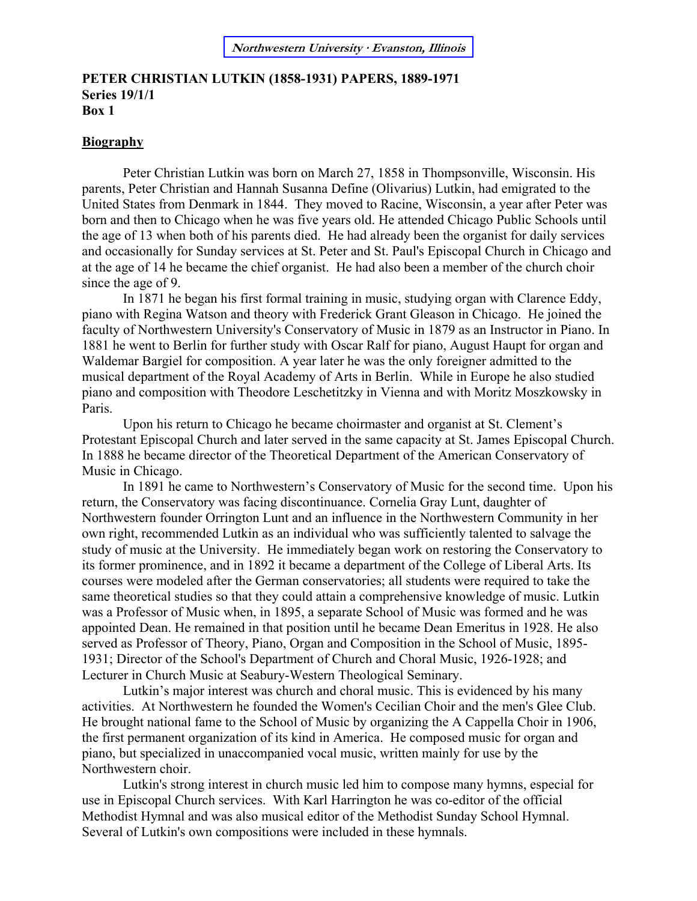#### **[Northwestern University](http://www.library.northwestern.edu/archives/) · Evanston, Illinois**

#### **PETER CHRISTIAN LUTKIN (1858-1931) PAPERS, 1889-1971 Series 19/1/1 Box 1**

#### **Biography**

Peter Christian Lutkin was born on March 27, 1858 in Thompsonville, Wisconsin. His parents, Peter Christian and Hannah Susanna Define (Olivarius) Lutkin, had emigrated to the United States from Denmark in 1844. They moved to Racine, Wisconsin, a year after Peter was born and then to Chicago when he was five years old. He attended Chicago Public Schools until the age of 13 when both of his parents died. He had already been the organist for daily services and occasionally for Sunday services at St. Peter and St. Paul's Episcopal Church in Chicago and at the age of 14 he became the chief organist. He had also been a member of the church choir since the age of 9.

In 1871 he began his first formal training in music, studying organ with Clarence Eddy, piano with Regina Watson and theory with Frederick Grant Gleason in Chicago. He joined the faculty of Northwestern University's Conservatory of Music in 1879 as an Instructor in Piano. In 1881 he went to Berlin for further study with Oscar Ralf for piano, August Haupt for organ and Waldemar Bargiel for composition. A year later he was the only foreigner admitted to the musical department of the Royal Academy of Arts in Berlin. While in Europe he also studied piano and composition with Theodore Leschetitzky in Vienna and with Moritz Moszkowsky in Paris.

Upon his return to Chicago he became choirmaster and organist at St. Clement's Protestant Episcopal Church and later served in the same capacity at St. James Episcopal Church. In 1888 he became director of the Theoretical Department of the American Conservatory of Music in Chicago.

In 1891 he came to Northwestern's Conservatory of Music for the second time. Upon his return, the Conservatory was facing discontinuance. Cornelia Gray Lunt, daughter of Northwestern founder Orrington Lunt and an influence in the Northwestern Community in her own right, recommended Lutkin as an individual who was sufficiently talented to salvage the study of music at the University. He immediately began work on restoring the Conservatory to its former prominence, and in 1892 it became a department of the College of Liberal Arts. Its courses were modeled after the German conservatories; all students were required to take the same theoretical studies so that they could attain a comprehensive knowledge of music. Lutkin was a Professor of Music when, in 1895, a separate School of Music was formed and he was appointed Dean. He remained in that position until he became Dean Emeritus in 1928. He also served as Professor of Theory, Piano, Organ and Composition in the School of Music, 1895- 1931; Director of the School's Department of Church and Choral Music, 1926-1928; and Lecturer in Church Music at Seabury-Western Theological Seminary.

Lutkin's major interest was church and choral music. This is evidenced by his many activities. At Northwestern he founded the Women's Cecilian Choir and the men's Glee Club. He brought national fame to the School of Music by organizing the A Cappella Choir in 1906, the first permanent organization of its kind in America. He composed music for organ and piano, but specialized in unaccompanied vocal music, written mainly for use by the Northwestern choir.

Lutkin's strong interest in church music led him to compose many hymns, especial for use in Episcopal Church services. With Karl Harrington he was co-editor of the official Methodist Hymnal and was also musical editor of the Methodist Sunday School Hymnal. Several of Lutkin's own compositions were included in these hymnals.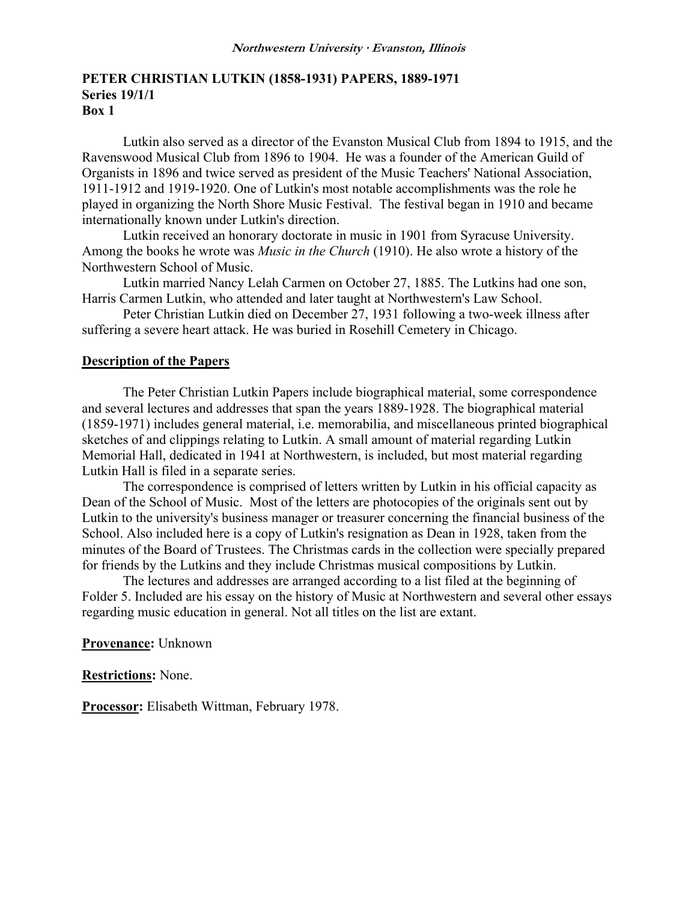### **PETER CHRISTIAN LUTKIN (1858-1931) PAPERS, 1889-1971 Series 19/1/1 Box 1**

Lutkin also served as a director of the Evanston Musical Club from 1894 to 1915, and the Ravenswood Musical Club from 1896 to 1904. He was a founder of the American Guild of Organists in 1896 and twice served as president of the Music Teachers' National Association, 1911-1912 and 1919-1920. One of Lutkin's most notable accomplishments was the role he played in organizing the North Shore Music Festival. The festival began in 1910 and became internationally known under Lutkin's direction.

 Lutkin received an honorary doctorate in music in 1901 from Syracuse University. Among the books he wrote was *Music in the Church* (1910). He also wrote a history of the Northwestern School of Music.

 Lutkin married Nancy Lelah Carmen on October 27, 1885. The Lutkins had one son, Harris Carmen Lutkin, who attended and later taught at Northwestern's Law School.

 Peter Christian Lutkin died on December 27, 1931 following a two-week illness after suffering a severe heart attack. He was buried in Rosehill Cemetery in Chicago.

### **Description of the Papers**

The Peter Christian Lutkin Papers include biographical material, some correspondence and several lectures and addresses that span the years 1889-1928. The biographical material (1859-1971) includes general material, i.e. memorabilia, and miscellaneous printed biographical sketches of and clippings relating to Lutkin. A small amount of material regarding Lutkin Memorial Hall, dedicated in 1941 at Northwestern, is included, but most material regarding Lutkin Hall is filed in a separate series.

The correspondence is comprised of letters written by Lutkin in his official capacity as Dean of the School of Music. Most of the letters are photocopies of the originals sent out by Lutkin to the university's business manager or treasurer concerning the financial business of the School. Also included here is a copy of Lutkin's resignation as Dean in 1928, taken from the minutes of the Board of Trustees. The Christmas cards in the collection were specially prepared for friends by the Lutkins and they include Christmas musical compositions by Lutkin.

The lectures and addresses are arranged according to a list filed at the beginning of Folder 5. Included are his essay on the history of Music at Northwestern and several other essays regarding music education in general. Not all titles on the list are extant.

#### **Provenance:** Unknown

**Restrictions:** None.

**Processor:** Elisabeth Wittman, February 1978.